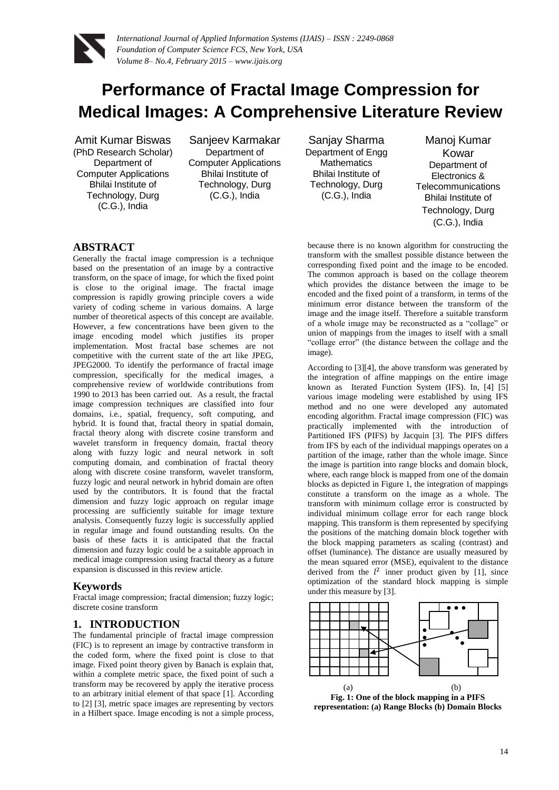

# **Performance of Fractal Image Compression for Medical Images: A Comprehensive Literature Review**

Amit Kumar Biswas (PhD Research Scholar) Department of Computer Applications Bhilai Institute of Technology, Durg (C.G.), India

Sanjeev Karmakar Department of Computer Applications Bhilai Institute of Technology, Durg (C.G.), India

Sanjay Sharma Department of Engg **Mathematics** Bhilai Institute of Technology, Durg (C.G.), India

Manoj Kumar Kowar Department of Electronics & **Telecommunications** Bhilai Institute of Technology, Durg (C.G.), India

### **ABSTRACT**

Generally the fractal image compression is a technique based on the presentation of an image by a contractive transform, on the space of image, for which the fixed point is close to the original image. The fractal image compression is rapidly growing principle covers a wide variety of coding scheme in various domains. A large number of theoretical aspects of this concept are available. However, a few concentrations have been given to the image encoding model which justifies its proper implementation. Most fractal base schemes are not competitive with the current state of the art like JPEG, JPEG2000. To identify the performance of fractal image compression, specifically for the medical images, a comprehensive review of worldwide contributions from 1990 to 2013 has been carried out. As a result, the fractal image compression techniques are classified into four domains, i.e., spatial, frequency, soft computing, and hybrid. It is found that, fractal theory in spatial domain, fractal theory along with discrete cosine transform and wavelet transform in frequency domain, fractal theory along with fuzzy logic and neural network in soft computing domain, and combination of fractal theory along with discrete cosine transform, wavelet transform, fuzzy logic and neural network in hybrid domain are often used by the contributors. It is found that the fractal dimension and fuzzy logic approach on regular image processing are sufficiently suitable for image texture analysis. Consequently fuzzy logic is successfully applied in regular image and found outstanding results. On the basis of these facts it is anticipated that the fractal dimension and fuzzy logic could be a suitable approach in medical image compression using fractal theory as a future expansion is discussed in this review article.

#### **Keywords**

Fractal image compression; fractal dimension; fuzzy logic; discrete cosine transform

## **1. INTRODUCTION**

The fundamental principle of fractal image compression (FIC) is to represent an image by contractive transform in the coded form, where the fixed point is close to that image. Fixed point theory given by Banach is explain that, within a complete metric space, the fixed point of such a transform may be recovered by apply the iterative process to an arbitrary initial element of that space [1]. According to [2] [3], metric space images are representing by vectors in a Hilbert space. Image encoding is not a simple process,

because there is no known algorithm for constructing the transform with the smallest possible distance between the corresponding fixed point and the image to be encoded. The common approach is based on the collage theorem which provides the distance between the image to be encoded and the fixed point of a transform, in terms of the minimum error distance between the transform of the image and the image itself. Therefore a suitable transform of a whole image may be reconstructed as a "collage" or union of mappings from the images to itself with a small "collage error" (the distance between the collage and the image).

According to [3][4], the above transform was generated by the integration of affine mappings on the entire image known as Iterated Function System (IFS). In, [4] [5] various image modeling were established by using IFS method and no one were developed any automated encoding algorithm. Fractal image compression (FIC) was practically implemented with the introduction of Partitioned IFS (PIFS) by Jacquin [3]. The PIFS differs from IFS by each of the individual mappings operates on a partition of the image, rather than the whole image. Since the image is partition into range blocks and domain block, where, each range block is mapped from one of the domain blocks as depicted in Figure 1, the integration of mappings constitute a transform on the image as a whole. The transform with minimum collage error is constructed by individual minimum collage error for each range block mapping. This transform is them represented by specifying the positions of the matching domain block together with the block mapping parameters as scaling (contrast) and offset (luminance). The distance are usually measured by the mean squared error (MSE), equivalent to the distance derived from the  $l^2$  inner product given by [1], since optimization of the standard block mapping is simple under this measure by [3].



**Fig. 1: One of the block mapping in a PIFS representation: (a) Range Blocks (b) Domain Blocks**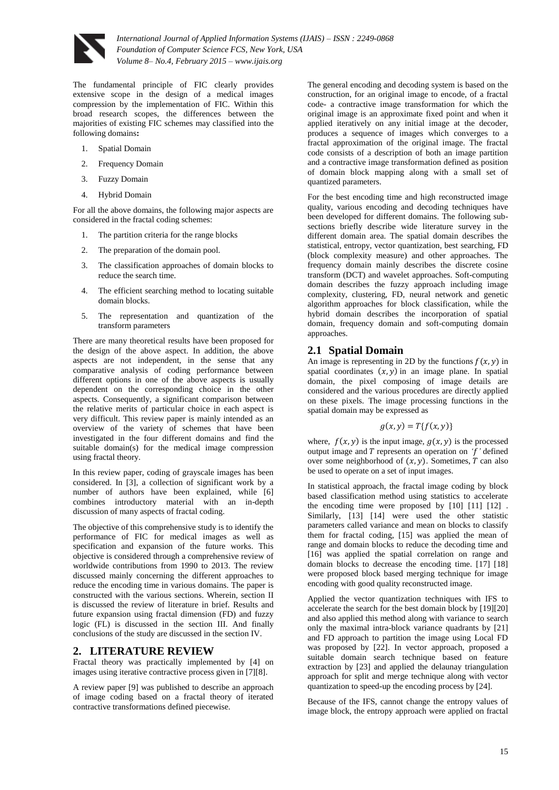

The fundamental principle of FIC clearly provides extensive scope in the design of a medical images compression by the implementation of FIC. Within this broad research scopes, the differences between the majorities of existing FIC schemes may classified into the following domains**:**

- 1. Spatial Domain
- 2. Frequency Domain
- 3. Fuzzy Domain
- 4. Hybrid Domain

For all the above domains, the following major aspects are considered in the fractal coding schemes:

- 1. The partition criteria for the range blocks
- 2. The preparation of the domain pool.
- 3. The classification approaches of domain blocks to reduce the search time.
- 4. The efficient searching method to locating suitable domain blocks.
- 5. The representation and quantization of the transform parameters

There are many theoretical results have been proposed for the design of the above aspect. In addition, the above aspects are not independent, in the sense that any comparative analysis of coding performance between different options in one of the above aspects is usually dependent on the corresponding choice in the other aspects. Consequently, a significant comparison between the relative merits of particular choice in each aspect is very difficult. This review paper is mainly intended as an overview of the variety of schemes that have been investigated in the four different domains and find the suitable domain(s) for the medical image compression using fractal theory.

In this review paper, coding of grayscale images has been considered. In [3], a collection of significant work by a number of authors have been explained, while [6] combines introductory material with an in-depth discussion of many aspects of fractal coding.

The objective of this comprehensive study is to identify the performance of FIC for medical images as well as specification and expansion of the future works. This objective is considered through a comprehensive review of worldwide contributions from 1990 to 2013. The review discussed mainly concerning the different approaches to reduce the encoding time in various domains. The paper is constructed with the various sections. Wherein, section II is discussed the review of literature in brief. Results and future expansion using fractal dimension (FD) and fuzzy logic (FL) is discussed in the section III. And finally conclusions of the study are discussed in the section IV.

## **2. LITERATURE REVIEW**

Fractal theory was practically implemented by [4] on images using iterative contractive process given in [7][8].

A review paper [9] was published to describe an approach of image coding based on a fractal theory of iterated contractive transformations defined piecewise.

The general encoding and decoding system is based on the construction, for an original image to encode, of a fractal code- a contractive image transformation for which the original image is an approximate fixed point and when it applied iteratively on any initial image at the decoder, produces a sequence of images which converges to a fractal approximation of the original image. The fractal code consists of a description of both an image partition and a contractive image transformation defined as position of domain block mapping along with a small set of quantized parameters.

For the best encoding time and high reconstructed image quality, various encoding and decoding techniques have been developed for different domains. The following subsections briefly describe wide literature survey in the different domain area. The spatial domain describes the statistical, entropy, vector quantization, best searching, FD (block complexity measure) and other approaches. The frequency domain mainly describes the discrete cosine transform (DCT) and wavelet approaches. Soft-computing domain describes the fuzzy approach including image complexity, clustering, FD, neural network and genetic algorithm approaches for block classification, while the hybrid domain describes the incorporation of spatial domain, frequency domain and soft-computing domain approaches.

### **2.1 Spatial Domain**

An image is representing in 2D by the functions  $f(x, y)$  in spatial coordinates  $(x, y)$  in an image plane. In spatial domain, the pixel composing of image details are considered and the various procedures are directly applied on these pixels. The image processing functions in the spatial domain may be expressed as

$$
g(x, y) = T\{f(x, y)\}\
$$

where,  $f(x, y)$  is the input image,  $g(x, y)$  is the processed output image and  $T$  represents an operation on  $f'$  defined over some neighborhood of  $(x, y)$ . Sometimes, T can also be used to operate on a set of input images.

In statistical approach, the fractal image coding by block based classification method using statistics to accelerate the encoding time were proposed by [10] [11] [12] . Similarly, [13] [14] were used the other statistic parameters called variance and mean on blocks to classify them for fractal coding, [15] was applied the mean of range and domain blocks to reduce the decoding time and [16] was applied the spatial correlation on range and domain blocks to decrease the encoding time. [17] [18] were proposed block based merging technique for image encoding with good quality reconstructed image.

Applied the vector quantization techniques with IFS to accelerate the search for the best domain block by [19][20] and also applied this method along with variance to search only the maximal intra-block variance quadrants by [21] and FD approach to partition the image using Local FD was proposed by [22]. In vector approach, proposed a suitable domain search technique based on feature extraction by [23] and applied the delaunay triangulation approach for split and merge technique along with vector quantization to speed-up the encoding process by [24].

Because of the IFS, cannot change the entropy values of image block, the entropy approach were applied on fractal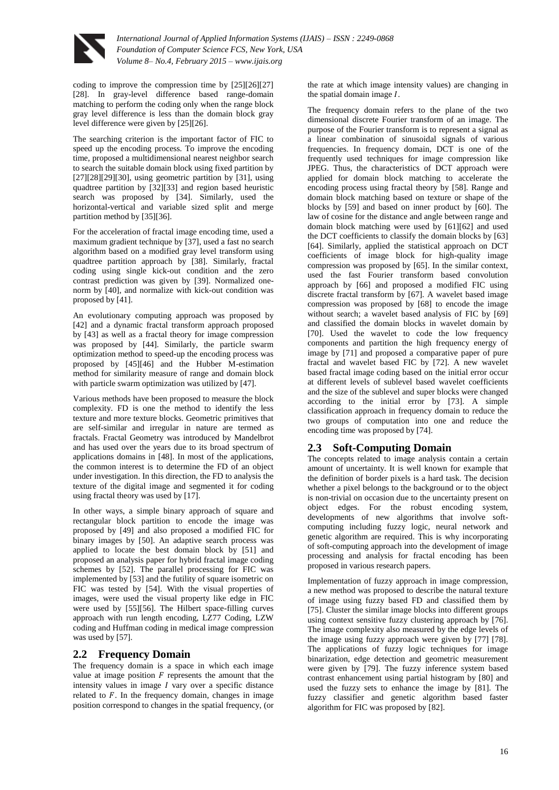

coding to improve the compression time by [25][26][27] [28]. In gray-level difference based range-domain matching to perform the coding only when the range block gray level difference is less than the domain block gray level difference were given by [25][26].

The searching criterion is the important factor of FIC to speed up the encoding process. To improve the encoding time, proposed a multidimensional nearest neighbor search to search the suitable domain block using fixed partition by [27][28][29][30], using geometric partition by [31], using quadtree partition by [32][33] and region based heuristic search was proposed by [34]. Similarly, used the horizontal-vertical and variable sized split and merge partition method by [35][36].

For the acceleration of fractal image encoding time, used a maximum gradient technique by [37], used a fast no search algorithm based on a modified gray level transform using quadtree partition approach by [38]. Similarly, fractal coding using single kick-out condition and the zero contrast prediction was given by [39]. Normalized onenorm by [40], and normalize with kick-out condition was proposed by [41].

An evolutionary computing approach was proposed by [42] and a dynamic fractal transform approach proposed by [43] as well as a fractal theory for image compression was proposed by [44]. Similarly, the particle swarm optimization method to speed-up the encoding process was proposed by [45][46] and the Hubber M-estimation method for similarity measure of range and domain block with particle swarm optimization was utilized by [47].

Various methods have been proposed to measure the block complexity. FD is one the method to identify the less texture and more texture blocks. Geometric primitives that are self-similar and irregular in nature are termed as fractals. Fractal Geometry was introduced by Mandelbrot and has used over the years due to its broad spectrum of applications domains in [48]. In most of the applications, the common interest is to determine the FD of an object under investigation. In this direction, the FD to analysis the texture of the digital image and segmented it for coding using fractal theory was used by [17].

In other ways, a simple binary approach of square and rectangular block partition to encode the image was proposed by [49] and also proposed a modified FIC for binary images by [50]. An adaptive search process was applied to locate the best domain block by [51] and proposed an analysis paper for hybrid fractal image coding schemes by [52]. The parallel processing for FIC was implemented by [53] and the futility of square isometric on FIC was tested by [54]. With the visual properties of images, were used the visual property like edge in FIC were used by [55][56]. The Hilbert space-filling curves approach with run length encoding, LZ77 Coding, LZW coding and Huffman coding in medical image compression was used by [57].

## **2.2 Frequency Domain**

The frequency domain is a space in which each image value at image position  $F$  represents the amount that the intensity values in image  *vary over a specific distance* related to  $F$ . In the frequency domain, changes in image position correspond to changes in the spatial frequency, (or

the rate at which image intensity values) are changing in the spatial domain image  $I$ .

The frequency domain refers to the plane of the two dimensional discrete Fourier transform of an image. The purpose of the Fourier transform is to represent a signal as a linear combination of sinusoidal signals of various frequencies. In frequency domain, DCT is one of the frequently used techniques for image compression like JPEG. Thus, the characteristics of DCT approach were applied for domain block matching to accelerate the encoding process using fractal theory by [58]. Range and domain block matching based on texture or shape of the blocks by [59] and based on inner product by [60]. The law of cosine for the distance and angle between range and domain block matching were used by [61][62] and used the DCT coefficients to classify the domain blocks by [63] [64]. Similarly, applied the statistical approach on DCT coefficients of image block for high-quality image compression was proposed by [65]. In the similar context, used the fast Fourier transform based convolution approach by [66] and proposed a modified FIC using discrete fractal transform by [67]. A wavelet based image compression was proposed by [68] to encode the image without search; a wavelet based analysis of FIC by [69] and classified the domain blocks in wavelet domain by [70]. Used the wavelet to code the low frequency components and partition the high frequency energy of image by [71] and proposed a comparative paper of pure fractal and wavelet based FIC by [72]. A new wavelet based fractal image coding based on the initial error occur at different levels of sublevel based wavelet coefficients and the size of the sublevel and super blocks were changed according to the initial error by [73]. A simple classification approach in frequency domain to reduce the two groups of computation into one and reduce the encoding time was proposed by [74].

#### **2.3 Soft-Computing Domain**

The concepts related to image analysis contain a certain amount of uncertainty. It is well known for example that the definition of border pixels is a hard task. The decision whether a pixel belongs to the background or to the object is non-trivial on occasion due to the uncertainty present on object edges. For the robust encoding system, developments of new algorithms that involve softcomputing including fuzzy logic, neural network and genetic algorithm are required. This is why incorporating of soft-computing approach into the development of image processing and analysis for fractal encoding has been proposed in various research papers.

Implementation of fuzzy approach in image compression, a new method was proposed to describe the natural texture of image using fuzzy based FD and classified them by [75]. Cluster the similar image blocks into different groups using context sensitive fuzzy clustering approach by [76]. The image complexity also measured by the edge levels of the image using fuzzy approach were given by [77] [78]. The applications of fuzzy logic techniques for image binarization, edge detection and geometric measurement were given by [79]. The fuzzy inference system based contrast enhancement using partial histogram by [80] and used the fuzzy sets to enhance the image by [81]. The fuzzy classifier and genetic algorithm based faster algorithm for FIC was proposed by [82].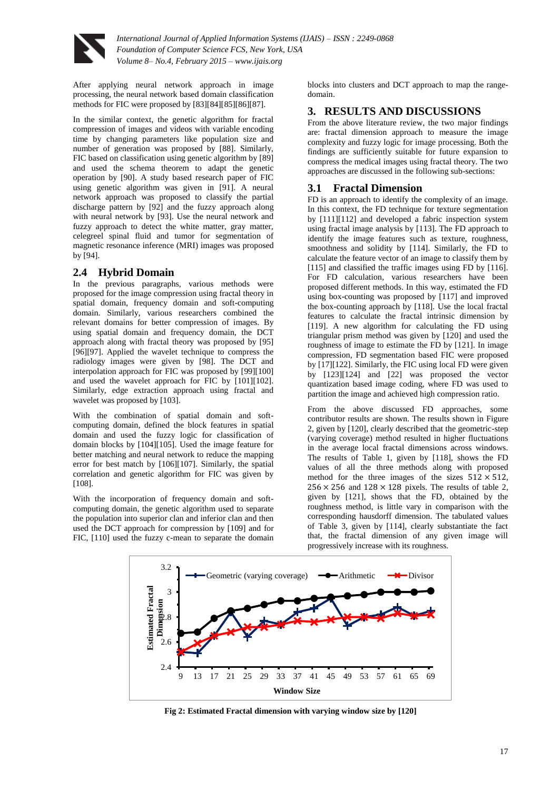

After applying neural network approach in image processing, the neural network based domain classification methods for FIC were proposed by [83][84][85][86][87].

In the similar context, the genetic algorithm for fractal compression of images and videos with variable encoding time by changing parameters like population size and number of generation was proposed by [88]. Similarly, FIC based on classification using genetic algorithm by [89] and used the schema theorem to adapt the genetic operation by [90]. A study based research paper of FIC using genetic algorithm was given in [91]. A neural network approach was proposed to classify the partial discharge pattern by [92] and the fuzzy approach along with neural network by [93]. Use the neural network and fuzzy approach to detect the white matter, gray matter, celegreel spinal fluid and tumor for segmentation of magnetic resonance inference (MRI) images was proposed by [94].

## **2.4 Hybrid Domain**

In the previous paragraphs, various methods were proposed for the image compression using fractal theory in spatial domain, frequency domain and soft-computing domain. Similarly, various researchers combined the relevant domains for better compression of images. By using spatial domain and frequency domain, the DCT approach along with fractal theory was proposed by [95] [96][97]. Applied the wavelet technique to compress the radiology images were given by [98]. The DCT and interpolation approach for FIC was proposed by [99][100] and used the wavelet approach for FIC by [101][102]. Similarly, edge extraction approach using fractal and wavelet was proposed by [103].

With the combination of spatial domain and softcomputing domain, defined the block features in spatial domain and used the fuzzy logic for classification of domain blocks by [104][105]. Used the image feature for better matching and neural network to reduce the mapping error for best match by [106][107]. Similarly, the spatial correlation and genetic algorithm for FIC was given by [108].

With the incorporation of frequency domain and softcomputing domain, the genetic algorithm used to separate the population into superior clan and inferior clan and then used the DCT approach for compression by [109] and for FIC, [110] used the fuzzy c-mean to separate the domain blocks into clusters and DCT approach to map the rangedomain.

## **3. RESULTS AND DISCUSSIONS**

From the above literature review, the two major findings are: fractal dimension approach to measure the image complexity and fuzzy logic for image processing. Both the findings are sufficiently suitable for future expansion to compress the medical images using fractal theory. The two approaches are discussed in the following sub-sections:

## **3.1 Fractal Dimension**

FD is an approach to identify the complexity of an image. In this context, the FD technique for texture segmentation by [111][112] and developed a fabric inspection system using fractal image analysis by [113]. The FD approach to identify the image features such as texture, roughness, smoothness and solidity by [114]. Similarly, the FD to calculate the feature vector of an image to classify them by [115] and classified the traffic images using FD by [116]. For FD calculation, various researchers have been proposed different methods. In this way, estimated the FD using box-counting was proposed by [117] and improved the box-counting approach by [118]. Use the local fractal features to calculate the fractal intrinsic dimension by [119]. A new algorithm for calculating the FD using triangular prism method was given by [120] and used the roughness of image to estimate the FD by [121]. In image compression, FD segmentation based FIC were proposed by [17][122]. Similarly, the FIC using local FD were given by [123][124] and [22] was proposed the vector quantization based image coding, where FD was used to partition the image and achieved high compression ratio.

From the above discussed FD approaches, some contributor results are shown. The results shown in Figure 2, given by [120], clearly described that the geometric-step (varying coverage) method resulted in higher fluctuations in the average local fractal dimensions across windows. The results of Table 1, given by [118], shows the FD values of all the three methods along with proposed method for the three images of the sizes  $512 \times 512$ ,  $256 \times 256$  and  $128 \times 128$  pixels. The results of table 2, given by [121], shows that the FD, obtained by the roughness method, is little vary in comparison with the corresponding hausdorff dimension. The tabulated values of Table 3, given by [114], clearly substantiate the fact that, the fractal dimension of any given image will progressively increase with its roughness.



**Fig 2: Estimated Fractal dimension with varying window size by [120]**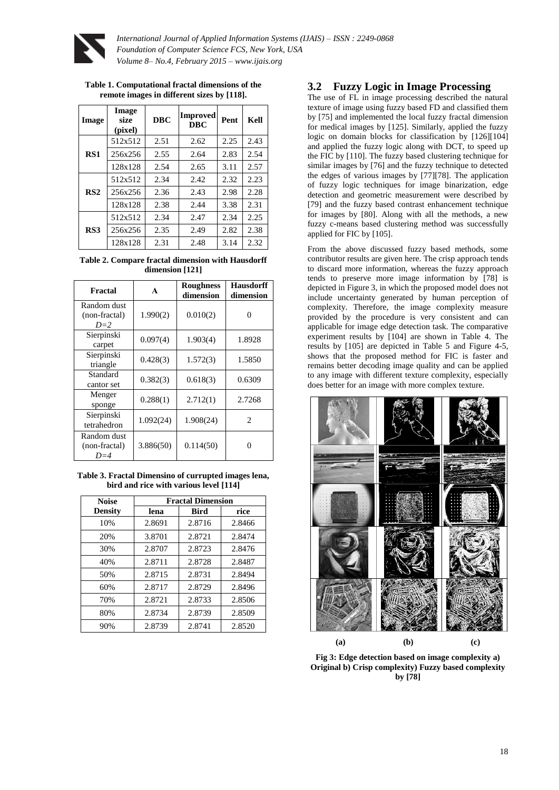

| Table 1. Computational fractal dimensions of the |
|--------------------------------------------------|
| remote images in different sizes by [118].       |

| <b>I</b> mage   | <b>Image</b><br>size<br>(pixel) | <b>DBC</b> | <b>Improved</b><br><b>DBC</b> | Pent | Kell |
|-----------------|---------------------------------|------------|-------------------------------|------|------|
| RS1             | 512x512                         | 2.51       | 2.62                          | 2.25 | 2.43 |
|                 | 256x256                         | 2.55       | 2.64                          | 2.83 | 2.54 |
|                 | 128x128                         | 2.54       | 2.65                          | 3.11 | 2.57 |
| RS <sub>2</sub> | 512x512                         | 2.34       | 2.42                          | 2.32 | 2.23 |
|                 | 256x256                         | 2.36       | 2.43                          | 2.98 | 2.28 |
|                 | 128x128                         | 2.38       | 2.44                          | 3.38 | 2.31 |
| RS3             | 512x512                         | 2.34       | 2.47                          | 2.34 | 2.25 |
|                 | 256x256                         | 2.35       | 2.49                          | 2.82 | 2.38 |
|                 | 128x128                         | 2.31       | 2.48                          | 3.14 | 2.32 |

**Table 2. Compare fractal dimension with Hausdorff dimension [121]**

| Fractal                               | A         | <b>Roughness</b><br>dimension | <b>Hausdorff</b><br>dimension |
|---------------------------------------|-----------|-------------------------------|-------------------------------|
| Random dust<br>(non-fractal)<br>$D=2$ | 1.990(2)  | 0.010(2)                      |                               |
| Sierpinski<br>carpet                  | 0.097(4)  | 1.903(4)                      | 1.8928                        |
| Sierpinski<br>triangle                | 0.428(3)  | 1.572(3)                      | 1.5850                        |
| Standard<br>cantor set                | 0.382(3)  | 0.618(3)                      | 0.6309                        |
| Menger<br>sponge                      | 0.288(1)  | 2.712(1)                      | 2.7268                        |
| Sierpinski<br>tetrahedron             | 1.092(24) | 1.908(24)                     | $\mathfrak{D}$                |
| Random dust<br>(non-fractal)<br>$D=4$ | 3.886(50) | 0.114(50)                     |                               |

**Table 3. Fractal Dimensino of currupted images lena, bird and rice with various level [114]**

| <b>Noise</b>   | <b>Fractal Dimension</b> |             |        |  |  |
|----------------|--------------------------|-------------|--------|--|--|
| <b>Density</b> | lena                     | <b>Bird</b> | rice   |  |  |
| 10%            | 2.8691                   | 2.8716      | 2.8466 |  |  |
| 20%            | 3.8701                   | 2.8721      | 2.8474 |  |  |
| 30%            | 2.8707                   | 2.8723      | 2.8476 |  |  |
| 40%            | 2.8711                   | 2.8728      | 2.8487 |  |  |
| 50%            | 2.8715                   | 2.8731      | 2.8494 |  |  |
| 60%            | 2.8717                   | 2.8729      | 2.8496 |  |  |
| 70%            | 2.8721                   | 2.8733      | 2.8506 |  |  |
| 80%            | 2.8734                   | 2.8739      | 2.8509 |  |  |
| 90%            | 2.8739                   | 2.8741      | 2.8520 |  |  |

## **3.2 Fuzzy Logic in Image Processing**

The use of FL in image processing described the natural texture of image using fuzzy based FD and classified them by [75] and implemented the local fuzzy fractal dimension for medical images by [125]. Similarly, applied the fuzzy logic on domain blocks for classification by [126][104] and applied the fuzzy logic along with DCT, to speed up the FIC by [110]. The fuzzy based clustering technique for similar images by [76] and the fuzzy technique to detected the edges of various images by [77][78]. The application of fuzzy logic techniques for image binarization, edge detection and geometric measurement were described by [79] and the fuzzy based contrast enhancement technique for images by [80]. Along with all the methods, a new fuzzy c-means based clustering method was successfully applied for FIC by [105].

From the above discussed fuzzy based methods, some contributor results are given here. The crisp approach tends to discard more information, whereas the fuzzy approach tends to preserve more image information by [78] is depicted in Figure 3, in which the proposed model does not include uncertainty generated by human perception of complexity. Therefore, the image complexity measure provided by the procedure is very consistent and can applicable for image edge detection task. The comparative experiment results by [104] are shown in Table 4. The results by [105] are depicted in Table 5 and Figure 4-5, shows that the proposed method for FIC is faster and remains better decoding image quality and can be applied to any image with different texture complexity, especially does better for an image with more complex texture.



**Fig 3: Edge detection based on image complexity a) Original b) Crisp complexity) Fuzzy based complexity by [78]**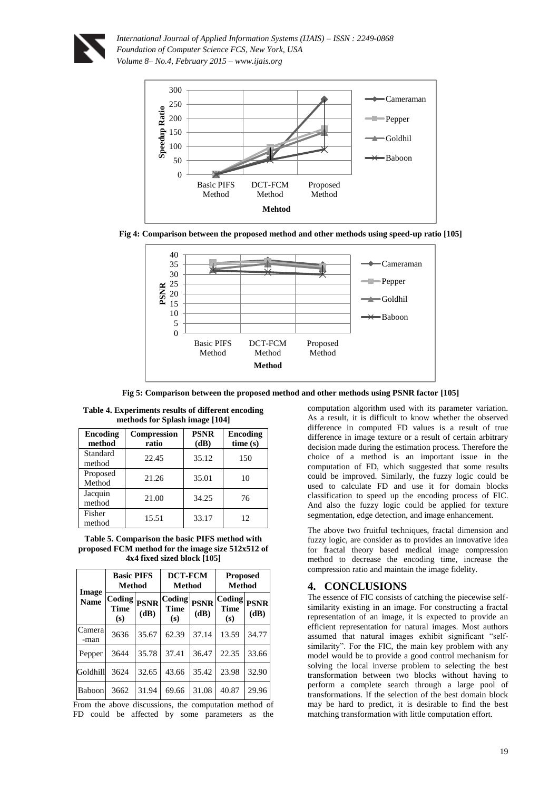

*International Journal of Applied Information Systems (IJAIS) – ISSN : 2249-0868 Foundation of Computer Science FCS, New York, USA Volume 8– No.4, February 2015 – www.ijais.org*







**Fig 5: Comparison between the proposed method and other methods using PSNR factor [105]**

| Encoding<br>method | <b>Compression</b><br>ratio | <b>PSNR</b><br>(dB) | <b>Encoding</b><br>time(s) |  |  |  |
|--------------------|-----------------------------|---------------------|----------------------------|--|--|--|
| Standard<br>method | 22.45                       | 35.12               | 150                        |  |  |  |
| Proposed<br>Method | 21.26                       | 35.01               | 10                         |  |  |  |
| Jacquin<br>method  | 21.00                       | 34.25               | 76                         |  |  |  |
| Fisher<br>method   | 15.51                       | 33.17               | 12                         |  |  |  |

| Table 4. Experiments results of different encoding |  |  |
|----------------------------------------------------|--|--|
| methods for Splash image [104]                     |  |  |

**Table 5. Comparison the basic PIFS method with proposed FCM method for the image size 512x512 of 4x4 fixed sized block [105]**

|                      | <b>Basic PIFS</b><br>Method       |                    | <b>DCT-FCM</b><br><b>Method</b> |                     | <b>Proposed</b><br>Method                                              |       |
|----------------------|-----------------------------------|--------------------|---------------------------------|---------------------|------------------------------------------------------------------------|-------|
| Image<br><b>Name</b> | Coding PSNR<br><b>Time</b><br>(s) | (dB)               | Coding<br><b>Time</b><br>(s)    | <b>PSNR</b><br>(dB) | $\left. \mathrm{Coding} \right _{\mathrm{PSNR}}$<br><b>Time</b><br>(s) | (dB)  |
| Camera<br>-man       | 3636                              | 35.67              | 62.39                           | 37.14               | 13.59                                                                  | 34.77 |
| Pepper               | 3644                              | 35.78              | 37.41                           | 36.47               | 22.35                                                                  | 33.66 |
| Goldhill             | 3624                              | 32.65              | 43.66                           | 35.42               | 23.98                                                                  | 32.90 |
| Baboon               | 3662                              | 31.94<br>$\ddotsc$ | 69.66                           | 31.08               | 40.87                                                                  | 29.96 |

From the above discussions, the computation method of FD could be affected by some parameters as the

computation algorithm used with its parameter variation. As a result, it is difficult to know whether the observed difference in computed FD values is a result of true difference in image texture or a result of certain arbitrary decision made during the estimation process. Therefore the choice of a method is an important issue in the computation of FD, which suggested that some results could be improved. Similarly, the fuzzy logic could be used to calculate FD and use it for domain blocks classification to speed up the encoding process of FIC. And also the fuzzy logic could be applied for texture segmentation, edge detection, and image enhancement.

The above two fruitful techniques, fractal dimension and fuzzy logic, are consider as to provides an innovative idea for fractal theory based medical image compression method to decrease the encoding time, increase the compression ratio and maintain the image fidelity.

## **4. CONCLUSIONS**

The essence of FIC consists of catching the piecewise selfsimilarity existing in an image. For constructing a fractal representation of an image, it is expected to provide an efficient representation for natural images. Most authors assumed that natural images exhibit significant "selfsimilarity". For the FIC, the main key problem with any model would be to provide a good control mechanism for solving the local inverse problem to selecting the best transformation between two blocks without having to perform a complete search through a large pool of transformations. If the selection of the best domain block may be hard to predict, it is desirable to find the best matching transformation with little computation effort.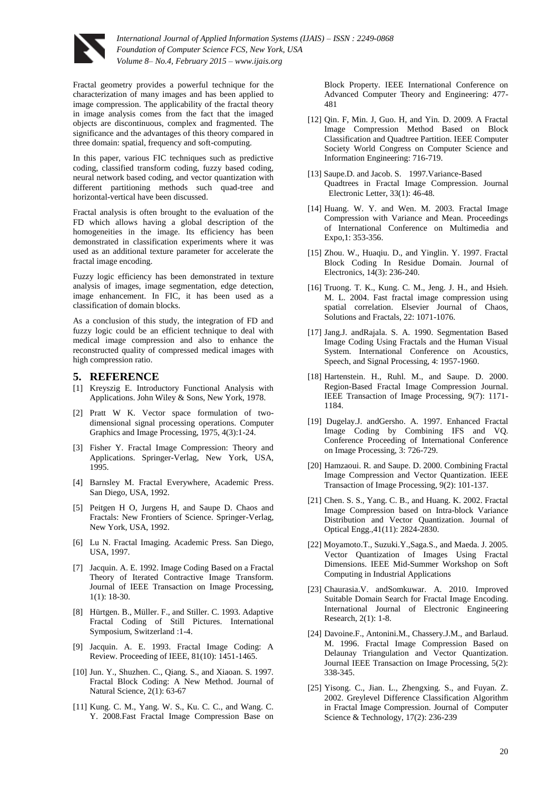

Fractal geometry provides a powerful technique for the characterization of many images and has been applied to image compression. The applicability of the fractal theory in image analysis comes from the fact that the imaged objects are discontinuous, complex and fragmented. The significance and the advantages of this theory compared in three domain: spatial, frequency and soft-computing.

In this paper, various FIC techniques such as predictive coding, classified transform coding, fuzzy based coding, neural network based coding, and vector quantization with different partitioning methods such quad-tree and horizontal-vertical have been discussed.

Fractal analysis is often brought to the evaluation of the FD which allows having a global description of the homogeneities in the image. Its efficiency has been demonstrated in classification experiments where it was used as an additional texture parameter for accelerate the fractal image encoding.

Fuzzy logic efficiency has been demonstrated in texture analysis of images, image segmentation, edge detection, image enhancement. In FIC, it has been used as a classification of domain blocks.

As a conclusion of this study, the integration of FD and fuzzy logic could be an efficient technique to deal with medical image compression and also to enhance the reconstructed quality of compressed medical images with high compression ratio.

#### **5. REFERENCE**

- [1] Kreyszig E. Introductory Functional Analysis with Applications. John Wiley & Sons, New York, 1978.
- [2] Pratt W K. Vector space formulation of twodimensional signal processing operations. Computer Graphics and Image Processing, 1975, 4(3):1-24.
- [3] Fisher Y. Fractal Image Compression: Theory and Applications. Springer-Verlag, New York, USA, 1995.
- [4] Barnsley M. Fractal Everywhere, Academic Press. San Diego, USA, 1992.
- [5] Peitgen H O, Jurgens H, and Saupe D. Chaos and Fractals: New Frontiers of Science. Springer-Verlag, New York, USA, 1992.
- [6] Lu N. Fractal Imaging. Academic Press. San Diego, USA, 1997.
- [7] Jacquin. A. E. 1992. Image Coding Based on a Fractal Theory of Iterated Contractive Image Transform. Journal of IEEE Transaction on Image Processing, 1(1): 18-30.
- [8] Hürtgen. B., Müller. F., and Stiller. C. 1993. Adaptive Fractal Coding of Still Pictures. International Symposium, Switzerland :1-4.
- [9] Jacquin. A. E. 1993. Fractal Image Coding: A Review. Proceeding of IEEE, 81(10): 1451-1465.
- [10] Jun. Y., Shuzhen. C., Qiang. S., and Xiaoan. S. 1997. Fractal Block Coding: A New Method. Journal of Natural Science, 2(1): 63-67
- [11] Kung. C. M., Yang. W. S., Ku. C. C., and Wang. C. Y. 2008.Fast Fractal Image Compression Base on

Block Property. IEEE International Conference on Advanced Computer Theory and Engineering: 477- 481

- [12] Qin. F, Min. J, Guo. H, and Yin. D. 2009. A Fractal Image Compression Method Based on Block Classification and Quadtree Partition. IEEE Computer Society World Congress on Computer Science and Information Engineering: 716-719.
- [13] Saupe.D. and Jacob. S. 1997. Variance-Based Quadtrees in Fractal Image Compression. Journal Electronic Letter, 33(1): 46-48.
- [14] Huang. W. Y. and Wen. M. 2003. Fractal Image Compression with Variance and Mean. Proceedings of International Conference on Multimedia and Expo,1: 353-356.
- [15] Zhou. W., Huaqiu. D., and Yinglin. Y. 1997. Fractal Block Coding In Residue Domain. Journal of Electronics, 14(3): 236-240.
- [16] Truong. T. K., Kung. C. M., Jeng. J. H., and Hsieh. M. L. 2004. Fast fractal image compression using spatial correlation. Elsevier Journal of Chaos, Solutions and Fractals, 22: 1071-1076.
- [17] Jang.J. andRajala. S. A. 1990. Segmentation Based Image Coding Using Fractals and the Human Visual System. International Conference on Acoustics, Speech, and Signal Processing, 4: 1957-1960.
- [18] Hartenstein. H., Ruhl. M., and Saupe. D. 2000. Region-Based Fractal Image Compression Journal. IEEE Transaction of Image Processing, 9(7): 1171- 1184.
- [19] Dugelay.J. andGersho. A. 1997. Enhanced Fractal Image Coding by Combining IFS and VQ. Conference Proceeding of International Conference on Image Processing, 3: 726-729.
- [20] Hamzaoui. R. and Saupe. D. 2000. Combining Fractal Image Compression and Vector Quantization. IEEE Transaction of Image Processing, 9(2): 101-137.
- [21] Chen. S. S., Yang. C. B., and Huang. K. 2002. Fractal Image Compression based on Intra-block Variance Distribution and Vector Quantization. Journal of Optical Engg.,41(11): 2824-2830.
- [22] Moyamoto.T., Suzuki.Y.,Saga.S., and Maeda. J. 2005. Vector Quantization of Images Using Fractal Dimensions. IEEE Mid-Summer Workshop on Soft Computing in Industrial Applications
- [23] Chaurasia.V. andSomkuwar. A. 2010. Improved Suitable Domain Search for Fractal Image Encoding. International Journal of Electronic Engineering Research, 2(1): 1-8.
- [24] Davoine.F., Antonini.M., Chassery.J.M., and Barlaud. M. 1996. Fractal Image Compression Based on Delaunay Triangulation and Vector Quantization. Journal IEEE Transaction on Image Processing, 5(2): 338-345.
- [25] Yisong. C., Jian. L., Zhengxing. S., and Fuyan. Z. 2002. Greylevel Difference Classification Algorithm in Fractal Image Compression. Journal of Computer Science & Technology, 17(2): 236-239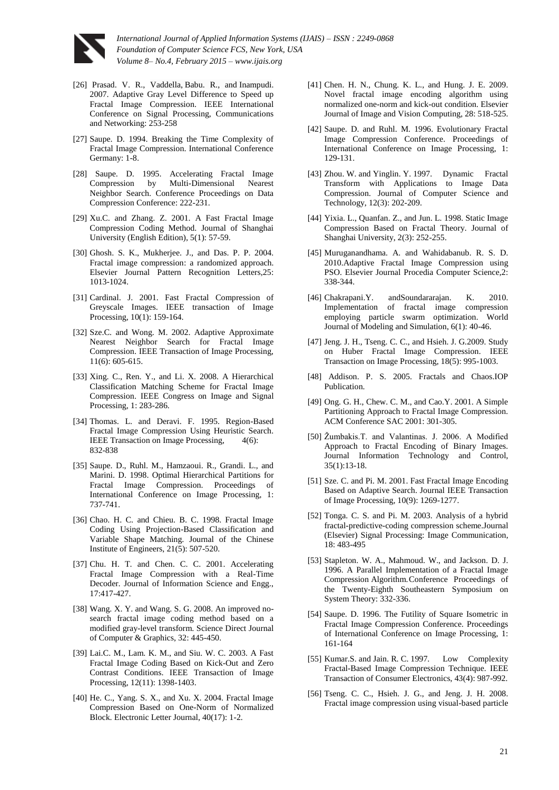

- [26] Prasad. V. R., Vaddella, Babu. R., and Inampudi. 2007. Adaptive Gray Level Difference to Speed up Fractal Image Compression. IEEE International Conference on [Signal Processing, Communications](http://ieeexplore.ieee.org/xpl/mostRecentIssue.jsp?punumber=4156571)  [and Networking:](http://ieeexplore.ieee.org/xpl/mostRecentIssue.jsp?punumber=4156571) 253-258
- [27] Saupe. D. 1994. Breaking the Time Complexity of Fractal Image Compression. International Conference Germany: 1-8.
- [28] Saupe. D. 1995. Accelerating Fractal Image Compression by Multi-Dimensional Nearest Neighbor Search. Conference Proceedings on Data Compression Conference: 222-231.
- [29] Xu.C. and Zhang. Z. 2001. A Fast Fractal Image Compression Coding Method. Journal of Shanghai University (English Edition), 5(1): 57-59.
- [30] Ghosh. S. K., Mukherjee. J., and Das. P. P. 2004. Fractal image compression: a randomized approach. Elsevier Journal Pattern Recognition Letters,25: 1013-1024.
- [31] Cardinal. J. 2001. Fast Fractal Compression of Greyscale Images. IEEE transaction of Image Processing, 10(1): 159-164.
- [32] Sze.C. and Wong. M. 2002. Adaptive Approximate Nearest Neighbor Search for Fractal Image Compression. IEEE Transaction of Image Processing, 11(6): 605-615.
- [33] Xing. C., Ren. Y., and Li. X. 2008. A Hierarchical Classification Matching Scheme for Fractal Image Compression. IEEE Congress on Image and Signal Processing, 1: 283-286.
- [34] Thomas. L. and Deravi. F. 1995. Region-Based Fractal Image Compression Using Heuristic Search. IEEE Transaction on Image Processing, 4(6): 832-838
- [35] Saupe. D., Ruhl. M., Hamzaoui. R., Grandi. L., and Marini. D. 1998. Optimal Hierarchical Partitions for Fractal Image Compression. Proceedings of International Conference on Image Processing, 1: 737-741.
- [36] Chao. H. C. and Chieu. B. C. 1998. Fractal Image Coding Using Projection-Based Classification and Variable Shape Matching. Journal of the Chinese Institute of Engineers, 21(5): 507-520.
- [37] Chu. H. T. and Chen. C. C. 2001. Accelerating Fractal Image Compression with a Real-Time Decoder. Journal of Information Science and Engg., 17:417-427.
- [38] Wang. X. Y. and Wang. S. G. 2008. An improved nosearch fractal image coding method based on a modified gray-level transform. Science Direct Journal of Computer & Graphics, 32: 445-450.
- [39] Lai.C. M., Lam. K. M., and Siu. W. C. 2003. A Fast Fractal Image Coding Based on Kick-Out and Zero Contrast Conditions. IEEE Transaction of Image Processing, 12(11): 1398-1403.
- [40] He. C., Yang. S. X., and Xu. X. 2004. Fractal Image Compression Based on One-Norm of Normalized Block. Electronic Letter Journal, 40(17): 1-2.
- [41] Chen. H. N., Chung. K. L., and Hung. J. E. 2009. Novel fractal image encoding algorithm using normalized one-norm and kick-out condition. Elsevier Journal of Image and Vision Computing, 28: 518-525.
- [42] Saupe. D. and Ruhl. M. 1996. Evolutionary Fractal Image Compression Conference. Proceedings of International Conference on Image Processing, 1: 129-131.
- [43] Zhou. W. and Yinglin. Y. 1997. Dynamic Fractal Transform with Applications to Image Data Compression. Journal of Computer Science and Technology, 12(3): 202-209.
- [44] Yixia. L., Quanfan. Z., and Jun. L. 1998. Static Image Compression Based on Fractal Theory. Journal of Shanghai University, 2(3): 252-255.
- [45] Muruganandhama. A. and Wahidabanub. R. S. D. 2010.Adaptive Fractal Image Compression using PSO. Elsevier Journal Procedia Computer Science,2: 338-344.
- [46] Chakrapani.Y. andSoundararajan. K. 2010. Implementation of fractal image compression employing particle swarm optimization. World Journal of Modeling and Simulation, 6(1): 40-46.
- [47] Jeng. J. H., Tseng. C. C., and Hsieh. J. G.2009. Study on Huber Fractal Image Compression. IEEE Transaction on Image Processing, 18(5): 995-1003.
- [48] Addison. P. S. 2005. Fractals and Chaos.IOP Publication.
- [49] Ong. G. H., Chew. C. M., and Cao.Y. 2001. A Simple Partitioning Approach to Fractal Image Compression. ACM Conference SAC 2001: 301-305.
- [50] Žumbakis.T. and Valantinas. J. 2006. A Modified Approach to Fractal Encoding of Binary Images. Journal Information Technology and Control, 35(1):13-18.
- [51] Sze. C. and Pi. M. 2001. Fast Fractal Image Encoding Based on Adaptive Search. Journal IEEE Transaction of Image Processing, 10(9): 1269-1277.
- [52] Tonga. C. S. and Pi. M. 2003. Analysis of a hybrid fractal-predictive-coding compression scheme.Journal (Elsevier) Signal Processing: Image Communication, 18: 483-495
- [53] Stapleton. W. A., Mahmoud. W., and Jackson. D. J. 1996. A Parallel Implementation of a Fractal Image Compression Algorithm.Conference Proceedings of the Twenty-Eighth Southeastern Symposium on System Theory: 332-336.
- [54] Saupe. D. 1996. The Futility of Square Isometric in Fractal Image Compression Conference. Proceedings of International Conference on Image Processing, 1: 161-164
- [55] Kumar.S. and Jain. R. C. 1997. Low Complexity Fractal-Based Image Compression Technique. IEEE Transaction of Consumer Electronics, 43(4): 987-992.
- [56] Tseng. C. C., Hsieh. J. G., and Jeng. J. H. 2008. Fractal image compression using visual-based particle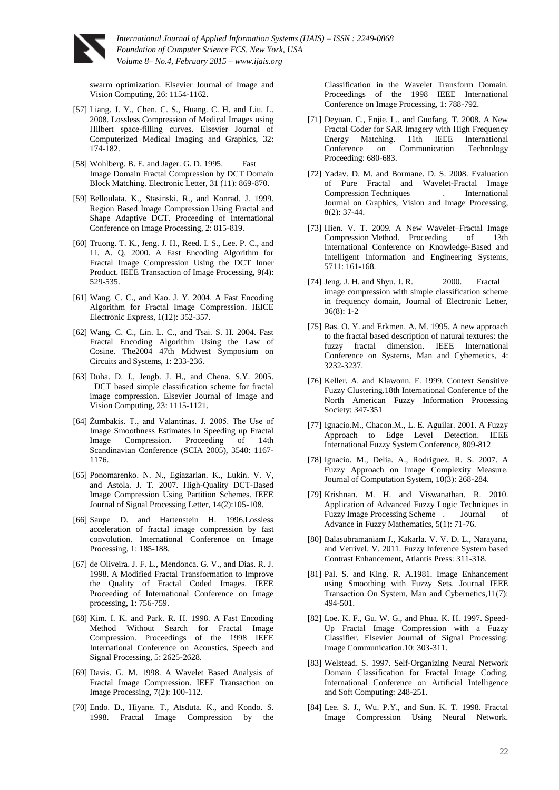

swarm optimization. Elsevier Journal of Image and Vision Computing, 26: 1154-1162.

- [57] Liang. J. Y., Chen. C. S., Huang. C. H. and Liu. L. 2008. Lossless Compression of Medical Images using Hilbert space-filling curves. Elsevier Journal of Computerized Medical Imaging and Graphics, 32: 174-182.
- [58] Wohlberg. B. E. and Jager. G. D. 1995. Fast Image Domain Fractal Compression by DCT Domain Block Matching. Electronic Letter, 31 (11): 869-870.
- [59] Belloulata. K., Stasinski. R., and Konrad. J. 1999. Region Based Image Compression Using Fractal and Shape Adaptive DCT. Proceeding of International Conference on Image Processing, 2: 815-819.
- [60] Truong. T. K., Jeng. J. H., Reed. I. S., Lee. P. C., and Li. A. Q. 2000. A Fast Encoding Algorithm for Fractal Image Compression Using the DCT Inner Product. IEEE Transaction of Image Processing, 9(4): 529-535.
- [61] Wang. C. C., and Kao. J. Y. 2004. A Fast Encoding Algorithm for Fractal Image Compression. IEICE Electronic Express, 1(12): 352-357.
- [62] Wang. C. C., Lin. L. C., and Tsai. S. H. 2004. Fast Fractal Encoding Algorithm Using the Law of Cosine. The2004 47th Midwest Symposium on Circuits and Systems, 1: 233-236.
- [63] Duha. D. J., Jengb. J. H., and Chena. S.Y. 2005. DCT based simple classification scheme for fractal image compression. Elsevier Journal of Image and Vision Computing, 23: 1115-1121.
- [64] Žumbakis. T., and Valantinas. J. 2005. The Use of Image Smoothness Estimates in Speeding up Fractal Image Compression. Proceeding of 14th Scandinavian Conference (SCIA 2005), 3540: 1167- 1176.
- [65] Ponomarenko. N. N., Egiazarian. K., Lukin. V. V, and Astola. J. T. 2007. High-Quality DCT-Based Image Compression Using Partition Schemes. IEEE Journal of Signal Processing Letter, 14(2):105-108.
- [66] Saupe D. and Hartenstein H. 1996.Lossless acceleration of fractal image compression by fast convolution. International Conference on Image Processing, 1: 185-188.
- [67] de Oliveira. J. F. L., Mendonca. G. V., and Dias. R. J. 1998. A Modified Fractal Transformation to Improve the Quality of Fractal Coded Images. IEEE Proceeding of International Conference on Image processing, 1: 756-759.
- [68] Kim. I. K. and Park. R. H. 1998. A Fast Encoding Method Without Search for Fractal Image Compression. Proceedings of the 1998 IEEE International Conference on [Acoustics, Speech and](http://ieeexplore.ieee.org/xpl/mostRecentIssue.jsp?punumber=5518)  [Signal Processing,](http://ieeexplore.ieee.org/xpl/mostRecentIssue.jsp?punumber=5518) 5: 2625-2628.
- [69] Davis. G. M. 1998. A Wavelet Based Analysis of Fractal Image Compression. IEEE Transaction on Image Processing, 7(2): 100-112.
- [70] Endo. D., Hiyane. T., Atsduta. K., and Kondo. S. 1998. Fractal Image Compression by the

Classification in the Wavelet Transform Domain. Proceedings of the 1998 IEEE International Conference on Image Processing, 1: 788-792.

- [71] Deyuan. C., Enjie. L., and Guofang. T. 2008. A New Fractal Coder for SAR Imagery with High Frequency Energy Matching. 11th IEEE International Conference on Communication Technology Proceeding: 680-683.
- [72] Yadav. D. M. and Bormane. D. S. 2008. Evaluation of Pure Fractal and Wavelet-Fractal Image Compression Techniques . International Journal on Graphics, Vision and Image Processing, 8(2): 37-44.
- [73] Hien. V. T. 2009. A New Wavelet–Fractal Image Compression Method. Proceeding of 13th International Conference on [Knowledge-Based and](http://link.springer.com/book/10.1007/978-3-642-04595-0)  [Intelligent Information and Engineering Systems,](http://link.springer.com/book/10.1007/978-3-642-04595-0) 5711: 161-168.
- [74] Jeng. J. H. and Shyu. J. R. 2000. Fractal image compression with simple classification scheme in frequency domain, Journal of Electronic Letter, 36(8): 1-2
- [75] Bas. O. Y. and Erkmen. A. M. 1995. A new approach to the fractal based description of natural textures: the fuzzy fractal dimension. [IEEE International](http://ieeexplore.ieee.org/xpl/mostRecentIssue.jsp?punumber=4021)  [Conference on](http://ieeexplore.ieee.org/xpl/mostRecentIssue.jsp?punumber=4021) Systems, Man and Cybernetics, 4: 3232-3237.
- [76] Keller. A. and Klawonn. F. 1999. Context Sensitive Fuzzy Clusterin[g.18th International Conference of the](http://ieeexplore.ieee.org/xpl/mostRecentIssue.jsp?punumber=6323)  [North American](http://ieeexplore.ieee.org/xpl/mostRecentIssue.jsp?punumber=6323) Fuzzy Information Processing Society: 347-351
- [77] Ignacio.M., Chacon.M., L. E. Aguilar. 2001. A Fuzzy Approach to Edge Level Detection. IEEE International Fuzzy System Conference, 809-812
- [78] Ignacio. M., Delia. A., Rodriguez. R. S. 2007. A Fuzzy Approach on Image Complexity Measure. Journal of Computation System, 10(3): 268-284.
- [79] Krishnan. M. H. and Viswanathan. R. 2010. Application of Advanced Fuzzy Logic Techniques in Fuzzy Image Processing Scheme . Journal of Advance in Fuzzy Mathematics, 5(1): 71-76.
- [80] Balasubramaniam J., Kakarla. V. V. D. L., Narayana, and Vetrivel. V. 2011. Fuzzy Inference System based Contrast Enhancement, Atlantis Press: 311-318.
- [81] Pal. S. and King. R. A.1981. Image Enhancement using Smoothing with Fuzzy Sets. Journal IEEE Transaction On System, Man and Cybernetics,11(7): 494-501.
- [82] Loe. K. F., Gu. W. G., and Phua. K. H. 1997. Speed-Up Fractal Image Compression with a Fuzzy Classifier. Elsevier Journal of Signal Processing: Image Communication.10: 303-311.
- [83] Welstead. S. 1997. Self-Organizing Neural Network Domain Classification for Fractal Image Coding. International Conference on Artificial Intelligence and Soft Computing: 248-251.
- [84] Lee. S. J., Wu. P.Y., and Sun. K. T. 1998. Fractal Image Compression Using Neural Network.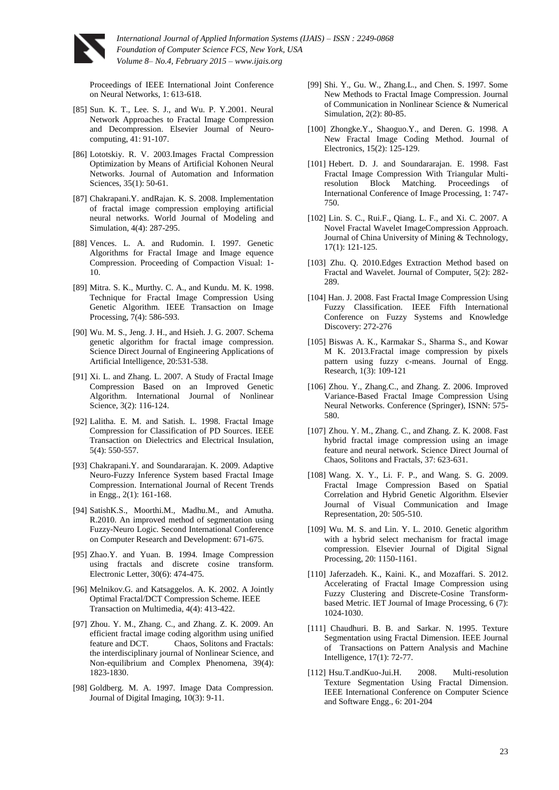

Proceedings of [IEEE International Joint Conference](http://ieeexplore.ieee.org/xpl/mostRecentIssue.jsp?punumber=5607)  [on](http://ieeexplore.ieee.org/xpl/mostRecentIssue.jsp?punumber=5607) [Neural Networks,](http://ieeexplore.ieee.org/xpl/mostRecentIssue.jsp?punumber=5607) 1: 613-618.

- [85] Sun. K. T., Lee. S. J., and Wu. P. Y.2001. Neural Network Approaches to Fractal Image Compression and Decompression. Elsevier Journal of Neurocomputing, 41: 91-107.
- [86] Lototskiy. R. V. 2003.Images Fractal Compression Optimization by Means of Artificial Kohonen Neural Networks. Journal of Automation and Information Sciences, 35(1): 50-61.
- [87] Chakrapani.Y. andRajan. K. S. 2008. Implementation of fractal image compression employing artificial neural networks. World Journal of Modeling and Simulation, 4(4): 287-295.
- [88] Vences. L. A. and Rudomin. I. 1997. Genetic Algorithms for Fractal Image and Image equence Compression. Proceeding of Compaction Visual: 1- 10.
- [89] Mitra. S. K., Murthy. C. A., and Kundu. M. K. 1998. Technique for Fractal Image Compression Using Genetic Algorithm. IEEE Transaction on Image Processing, 7(4): 586-593.
- [90] Wu. M. S., Jeng. J. H., and Hsieh. J. G. 2007. Schema genetic algorithm for fractal image compression. Science Direct Journal of Engineering Applications of Artificial Intelligence, 20:531-538.
- [91] Xi. L. and Zhang. L. 2007. A Study of Fractal Image Compression Based on an Improved Genetic Algorithm. International Journal of Nonlinear Science, 3(2): 116-124.
- [92] Lalitha. E. M. and Satish. L. 1998. Fractal Image Compression for Classification of PD Sources. IEEE Transaction on Dielectrics and Electrical Insulation, 5(4): 550-557.
- [93] Chakrapani.Y. and Soundararajan. K. 2009. Adaptive Neuro-Fuzzy Inference System based Fractal Image Compression. International Journal of Recent Trends in Engg., 2(1): 161-168.
- [94] SatishK.S., Moorthi.M., Madhu.M., and Amutha. R.2010. An improved method of segmentation using Fuzzy-Neuro Logic. Second International Conference on Computer Research and Development: 671-675.
- [95] Zhao.Y. and Yuan. B. 1994. Image Compression using fractals and discrete cosine transform. Electronic Letter, 30(6): 474-475.
- [96] Melnikov.G. and Katsaggelos. A. K. 2002. A Jointly Optimal Fractal/DCT Compression Scheme. IEEE Transaction on Multimedia, 4(4): 413-422.
- [97] Zhou. Y. M., Zhang. C., and Zhang. Z. K. 2009. An efficient fractal image coding algorithm using unified feature and DCT. Chaos, Solitons and Fractals: the interdisciplinary journal of Nonlinear Science, and Non-equilibrium and Complex Phenomena, [39](http://yadda.icm.edu.pl/yadda/element/bwmeta1.element.elsevier-7625abd1-401f-3390-8bdb-4ae6f35d28ac)[\(4\)](http://yadda.icm.edu.pl/yadda/element/bwmeta1.element.elsevier-d95e3c3a-108d-35c2-9230-c83be54564c3): 1823-1830.
- [98] Goldberg. M. A. 1997. Image Data Compression. Journal of Digital Imaging, 10(3): 9-11.
- [99] Shi. Y., Gu. W., Zhang.L., and Chen. S. 1997. Some New Methods to Fractal Image Compression. Journal of Communication in Nonlinear Science & Numerical Simulation, 2(2): 80-85.
- [100] Zhongke.Y., Shaoguo.Y., and Deren. G. 1998. A New Fractal Image Coding Method. Journal of Electronics, 15(2): 125-129.
- [101] Hebert. D. J. and Soundararajan. E. 1998. Fast Fractal Image Compression With Triangular Multiresolution Block Matching. Proceedings of International Conference of Image Processing, 1: 747- 750.
- [102] Lin. S. C., Rui.F., Qiang. L. F., and Xi. C. 2007. A Novel Fractal Wavelet ImageCompression Approach. Journal of China University of Mining & Technology, 17(1): 121-125.
- [103] Zhu. Q. 2010.Edges Extraction Method based on Fractal and Wavelet. Journal of Computer, 5(2): 282- 289.
- [104] Han. J. 2008. Fast Fractal Image Compression Using Fuzzy Classification. IEEE Fifth International Conference on Fuzzy Systems and Knowledge Discovery: 272-276
- [105] Biswas A. K., Karmakar S., Sharma S., and Kowar M K. 2013.Fractal image compression by pixels pattern using fuzzy c-means. Journal of Engg. Research, 1(3): 109-121
- [106] Zhou. Y., Zhang.C., and Zhang. Z. 2006. Improved Variance-Based Fractal Image Compression Using Neural Networks. Conference (Springer), ISNN: 575- 580.
- [107] Zhou. Y. M., Zhang. C., and Zhang. Z. K. 2008. Fast hybrid fractal image compression using an image feature and neural network. Science Direct Journal of Chaos, Solitons and Fractals, 37: 623-631.
- [108] Wang. X. Y., Li. F. P., and Wang. S. G. 2009. Fractal Image Compression Based on Spatial Correlation and Hybrid Genetic Algorithm. Elsevier Journal of Visual Communication and Image Representation, 20: 505-510.
- [109] Wu. M. S. and Lin. Y. L. 2010. Genetic algorithm with a hybrid select mechanism for fractal image compression. Elsevier Journal of Digital Signal Processing, 20: 1150-1161.
- [110] Jaferzadeh. K., Kaini. K., and Mozaffari. S. 2012. Accelerating of Fractal Image Compression using Fuzzy Clustering and Discrete-Cosine Transformbased Metric. IET Journal of Image Processing, 6 (7): 1024-1030.
- [111] Chaudhuri. B. B. and Sarkar. N. 1995. Texture Segmentation using Fractal Dimension. IEEE Journal of Transactions on Pattern Analysis and Machine Intelligence, 17(1): 72-77.
- [112] Hsu.T.andKuo-Jui.H. 2008. Multi-resolution Texture Segmentation Using Fractal Dimension. IEEE International Conference on Computer Science and Software Engg., 6: 201-204